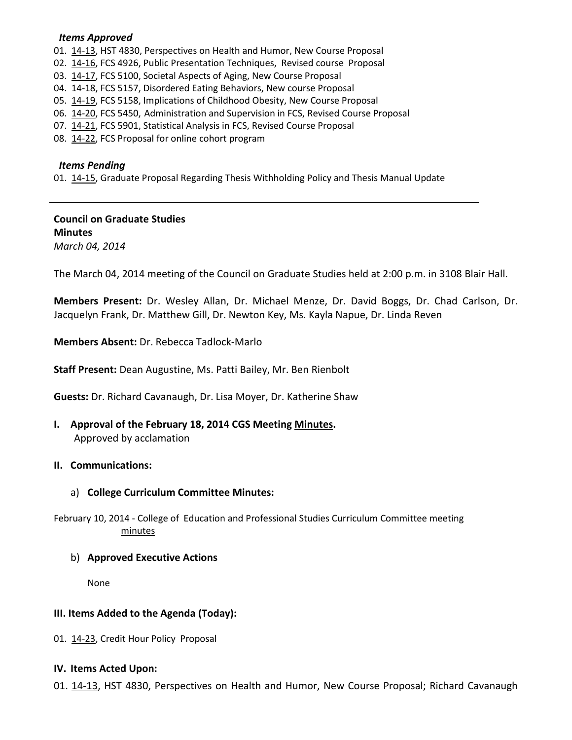## *Items Approved*

01. [14-13,](http://castle.eiu.edu/~eiucgs/currentagendaitems/agenda14-13.pdf) HST 4830, Perspectives on Health and Humor, New Course Proposal

- 02. [14-16,](http://castle.eiu.edu/~eiucgs/currentagendaitems/agenda14-16.pdf) FCS 4926, Public Presentation Techniques, Revised course Proposal
- 03. [14-17,](http://castle.eiu.edu/~eiucgs/currentagendaitems/agenda14-17.pdf) FCS 5100, Societal Aspects of Aging, New Course Proposal
- 04. [14-18,](http://castle.eiu.edu/~eiucgs/currentagendaitems/agenda14-18.pdf) FCS 5157, Disordered Eating Behaviors, New course Proposal
- 05. [14-19,](http://castle.eiu.edu/~eiucgs/currentagendaitems/agenda14-19.pdf) FCS 5158, Implications of Childhood Obesity, New Course Proposal
- 06. [14-20,](http://castle.eiu.edu/~eiucgs/currentagendaitems/agenda14-20.pdf) FCS 5450, Administration and Supervision in FCS, Revised Course Proposal
- 07. [14-21,](http://castle.eiu.edu/~eiucgs/currentagendaitems/agenda14-21.pdf) FCS 5901, Statistical Analysis in FCS, Revised Course Proposal
- 08. [14-22,](http://castle.eiu.edu/~eiucgs/currentagendaitems/agenda14-22.pdf) FCS Proposal for online cohort program

#### *Items Pending*

01. [14-15,](http://castle.eiu.edu/~eiucgs/currentagendaitems/agenda14-15.pdf) Graduate Proposal Regarding Thesis Withholding Policy and Thesis Manual Update

# **Council on Graduate Studies Minutes**

*March 04, 2014*

The March 04, 2014 meeting of the Council on Graduate Studies held at 2:00 p.m. in 3108 Blair Hall.

**Members Present:** Dr. Wesley Allan, Dr. Michael Menze, Dr. David Boggs, Dr. Chad Carlson, Dr. Jacquelyn Frank, Dr. Matthew Gill, Dr. Newton Key, Ms. Kayla Napue, Dr. Linda Reven

**Members Absent:** Dr. Rebecca Tadlock-Marlo

**Staff Present:** Dean Augustine, Ms. Patti Bailey, Mr. Ben Rienbolt

**Guests:** Dr. Richard Cavanaugh, Dr. Lisa Moyer, Dr. Katherine Shaw

**I. Approval of the February 18, 2014 CGS Meeting [Minutes.](http://castle.eiu.edu/eiucgs/currentminutes/Minutes02-18-14.pdf)** Approved by acclamation

## **II. Communications:**

## a) **College Curriculum Committee Minutes:**

February 10, 2014 - College of Education and Professional Studies Curriculum Committee meeting [minutes](http://castle.eiu.edu/~eiucgs/currentagendaitems/CEPSMin02-10-14.pdf)

#### b) **Approved Executive Actions**

None

## **III. Items Added to the Agenda (Today):**

01. [14-23,](http://castle.eiu.edu/~eiucgs/currentagendaitems/agenda14-23.pdf) Credit Hour Policy Proposal

## **IV. Items Acted Upon:**

01. [14-13,](http://castle.eiu.edu/~eiucgs/currentagendaitems/agenda14-13.pdf) HST 4830, Perspectives on Health and Humor, New Course Proposal; Richard Cavanaugh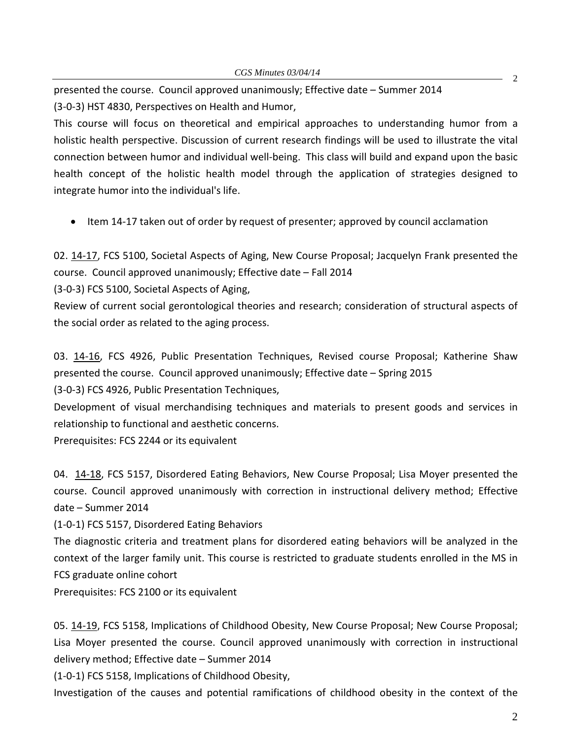presented the course. Council approved unanimously; Effective date – Summer 2014 (3-0-3) HST 4830, Perspectives on Health and Humor,

This course will focus on theoretical and empirical approaches to understanding humor from a holistic health perspective. Discussion of current research findings will be used to illustrate the vital connection between humor and individual well-being. This class will build and expand upon the basic health concept of the holistic health model through the application of strategies designed to integrate humor into the individual's life.

• Item 14-17 taken out of order by request of presenter; approved by council acclamation

02. [14-17,](http://castle.eiu.edu/~eiucgs/currentagendaitems/agenda14-16.pdf) FCS 5100, Societal Aspects of Aging, New Course Proposal; Jacquelyn Frank presented the course. Council approved unanimously; Effective date – Fall 2014

(3-0-3) FCS 5100, Societal Aspects of Aging,

Review of current social gerontological theories and research; consideration of structural aspects of the social order as related to the aging process.

03. [14-16,](http://castle.eiu.edu/~eiucgs/currentagendaitems/agenda14-16.pdf) FCS 4926, Public Presentation Techniques, Revised course Proposal; Katherine Shaw presented the course. Council approved unanimously; Effective date – Spring 2015

(3-0-3) FCS 4926, Public Presentation Techniques,

Development of visual merchandising techniques and materials to present goods and services in relationship to functional and aesthetic concerns.

Prerequisites: FCS 2244 or its equivalent

04. [14-18,](http://castle.eiu.edu/~eiucgs/currentagendaitems/agenda14-18.pdf) FCS 5157, Disordered Eating Behaviors, New Course Proposal; Lisa Moyer presented the course. Council approved unanimously with correction in instructional delivery method; Effective date – Summer 2014

(1-0-1) FCS 5157, Disordered Eating Behaviors

The diagnostic criteria and treatment plans for disordered eating behaviors will be analyzed in the context of the larger family unit. This course is restricted to graduate students enrolled in the MS in FCS graduate online cohort

Prerequisites: FCS 2100 or its equivalent

05. [14-19,](http://castle.eiu.edu/~eiucgs/currentagendaitems/agenda14-19.pdf) FCS 5158, Implications of Childhood Obesity, New Course Proposal; New Course Proposal; Lisa Moyer presented the course. Council approved unanimously with correction in instructional delivery method; Effective date – Summer 2014

(1-0-1) FCS 5158, Implications of Childhood Obesity,

Investigation of the causes and potential ramifications of childhood obesity in the context of the

2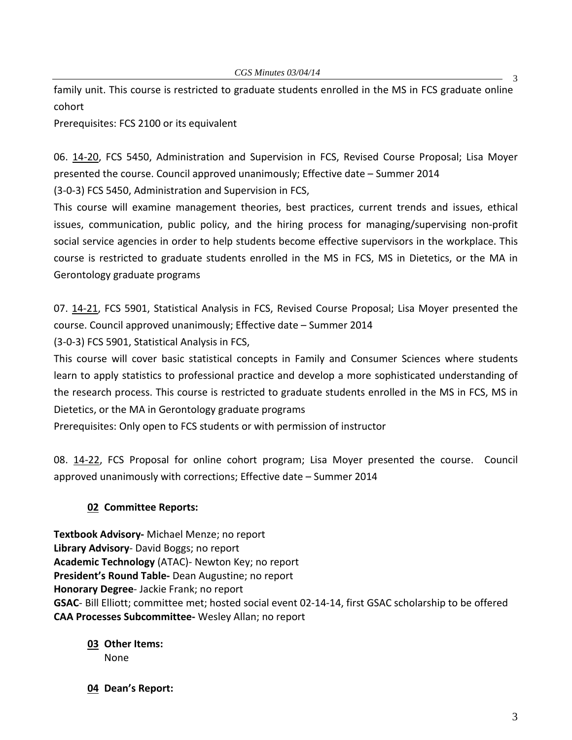family unit. This course is restricted to graduate students enrolled in the MS in FCS graduate online cohort

Prerequisites: FCS 2100 or its equivalent

06. [14-20,](http://castle.eiu.edu/~eiucgs/currentagendaitems/agenda14-20.pdf) FCS 5450, Administration and Supervision in FCS, Revised Course Proposal; Lisa Moyer presented the course. Council approved unanimously; Effective date – Summer 2014

(3-0-3) FCS 5450, Administration and Supervision in FCS,

This course will examine management theories, best practices, current trends and issues, ethical issues, communication, public policy, and the hiring process for managing/supervising non-profit social service agencies in order to help students become effective supervisors in the workplace. This course is restricted to graduate students enrolled in the MS in FCS, MS in Dietetics, or the MA in Gerontology graduate programs

07. [14-21,](http://castle.eiu.edu/~eiucgs/currentagendaitems/agenda14-21.pdf) FCS 5901, Statistical Analysis in FCS, Revised Course Proposal; Lisa Moyer presented the course. Council approved unanimously; Effective date – Summer 2014

(3-0-3) FCS 5901, Statistical Analysis in FCS,

This course will cover basic statistical concepts in Family and Consumer Sciences where students learn to apply statistics to professional practice and develop a more sophisticated understanding of the research process. This course is restricted to graduate students enrolled in the MS in FCS, MS in Dietetics, or the MA in Gerontology graduate programs

Prerequisites: Only open to FCS students or with permission of instructor

08. [14-22,](http://castle.eiu.edu/~eiucgs/currentagendaitems/agenda14-22.pdf) FCS Proposal for online cohort program; Lisa Moyer presented the course. Council approved unanimously with corrections; Effective date – Summer 2014

## **02 Committee Reports:**

**Textbook Advisory-** Michael Menze; no report **Library Advisory**- David Boggs; no report **Academic Technology** (ATAC)- Newton Key; no report **President's Round Table-** Dean Augustine; no report **Honorary Degree**- Jackie Frank; no report **GSAC**- Bill Elliott; committee met; hosted social event 02-14-14, first GSAC scholarship to be offered **CAA Processes Subcommittee-** Wesley Allan; no report

## **03 Other Items:**  None

**04 Dean's Report:**

3